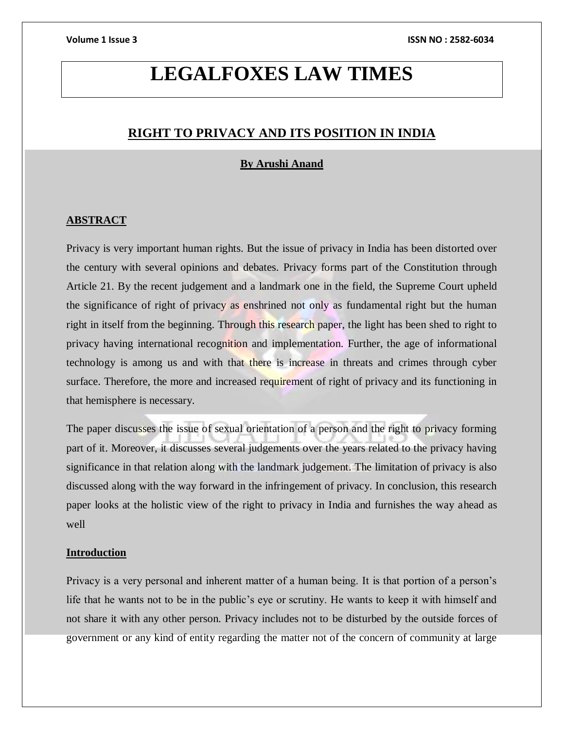# **LEGALFOXES LAW TIMES**

# **RIGHT TO PRIVACY AND ITS POSITION IN INDIA**

# **By Arushi Anand**

# **ABSTRACT**

Privacy is very important human rights. But the issue of privacy in India has been distorted over the century with several opinions and debates. Privacy forms part of the Constitution through Article 21. By the recent judgement and a landmark one in the field, the Supreme Court upheld the significance of right of privacy as enshrined not only as fundamental right but the human right in itself from the beginning. Through this research paper, the light has been shed to right to privacy having international recognition and implementation. Further, the age of informational technology is among us and with that there is increase in threats and crimes through cyber surface. Therefore, the more and increased requirement of right of privacy and its functioning in that hemisphere is necessary.

The paper discusses the issue of sexual orientation of a person and the right to privacy forming part of it. Moreover, it discusses several judgements over the years related to the privacy having significance in that relation along with the landmark judgement. The limitation of privacy is also discussed along with the way forward in the infringement of privacy. In conclusion, this research paper looks at the holistic view of the right to privacy in India and furnishes the way ahead as well

# **Introduction**

Privacy is a very personal and inherent matter of a human being. It is that portion of a person's life that he wants not to be in the public's eye or scrutiny. He wants to keep it with himself and not share it with any other person. Privacy includes not to be disturbed by the outside forces of government or any kind of entity regarding the matter not of the concern of community at large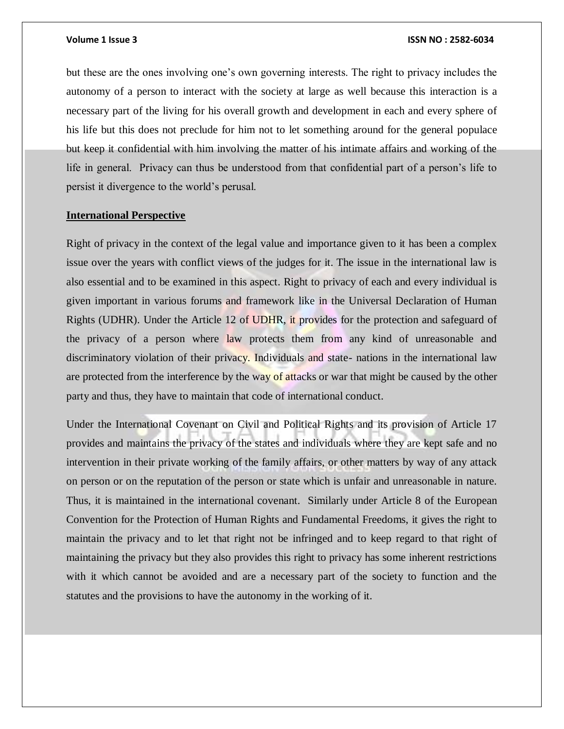but these are the ones involving one's own governing interests. The right to privacy includes the autonomy of a person to interact with the society at large as well because this interaction is a necessary part of the living for his overall growth and development in each and every sphere of his life but this does not preclude for him not to let something around for the general populace but keep it confidential with him involving the matter of his intimate affairs and working of the life in general. Privacy can thus be understood from that confidential part of a person's life to persist it divergence to the world's perusal.

# **International Perspective**

Right of privacy in the context of the legal value and importance given to it has been a complex issue over the years with conflict views of the judges for it. The issue in the international law is also essential and to be examined in this aspect. Right to privacy of each and every individual is given important in various forums and framework like in the Universal Declaration of Human Rights (UDHR). Under the Article 12 of UDHR, it provides for the protection and safeguard of the privacy of a person where law protects them from any kind of unreasonable and discriminatory violation of their privacy. Individuals and state- nations in the international law are protected from the interference by the way of attacks or war that might be caused by the other party and thus, they have to maintain that code of international conduct.

Under the International Covenant on Civil and Political Rights and its provision of Article 17 provides and maintains the privacy of the states and individuals where they are kept safe and no intervention in their private working of the family affairs, or other matters by way of any attack on person or on the reputation of the person or state which is unfair and unreasonable in nature. Thus, it is maintained in the international covenant. Similarly under Article 8 of the European Convention for the Protection of Human Rights and Fundamental Freedoms, it gives the right to maintain the privacy and to let that right not be infringed and to keep regard to that right of maintaining the privacy but they also provides this right to privacy has some inherent restrictions with it which cannot be avoided and are a necessary part of the society to function and the statutes and the provisions to have the autonomy in the working of it.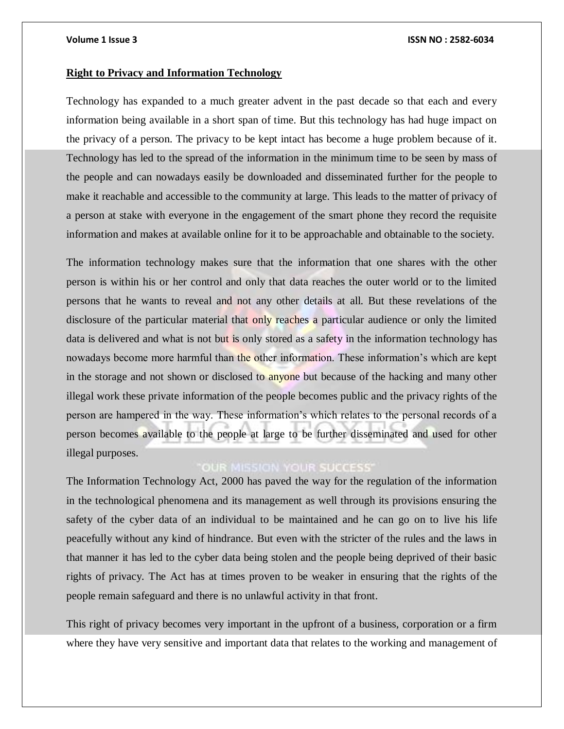### **Right to Privacy and Information Technology**

Technology has expanded to a much greater advent in the past decade so that each and every information being available in a short span of time. But this technology has had huge impact on the privacy of a person. The privacy to be kept intact has become a huge problem because of it. Technology has led to the spread of the information in the minimum time to be seen by mass of the people and can nowadays easily be downloaded and disseminated further for the people to make it reachable and accessible to the community at large. This leads to the matter of privacy of a person at stake with everyone in the engagement of the smart phone they record the requisite information and makes at available online for it to be approachable and obtainable to the society.

The information technology makes sure that the information that one shares with the other person is within his or her control and only that data reaches the outer world or to the limited persons that he wants to reveal and not any other details at all. But these revelations of the disclosure of the particular material that only reaches a particular audience or only the limited data is delivered and what is not but is only stored as a safety in the information technology has nowadays become more harmful than the other information. These information's which are kept in the storage and not shown or disclosed to anyone but because of the hacking and many other illegal work these private information of the people becomes public and the privacy rights of the person are hampered in the way. These information's which relates to the personal records of a person becomes available to the people at large to be further disseminated and used for other illegal purposes.

# **OUR MISSION YOUR SUCCESS'**

The Information Technology Act, 2000 has paved the way for the regulation of the information in the technological phenomena and its management as well through its provisions ensuring the safety of the cyber data of an individual to be maintained and he can go on to live his life peacefully without any kind of hindrance. But even with the stricter of the rules and the laws in that manner it has led to the cyber data being stolen and the people being deprived of their basic rights of privacy. The Act has at times proven to be weaker in ensuring that the rights of the people remain safeguard and there is no unlawful activity in that front.

This right of privacy becomes very important in the upfront of a business, corporation or a firm where they have very sensitive and important data that relates to the working and management of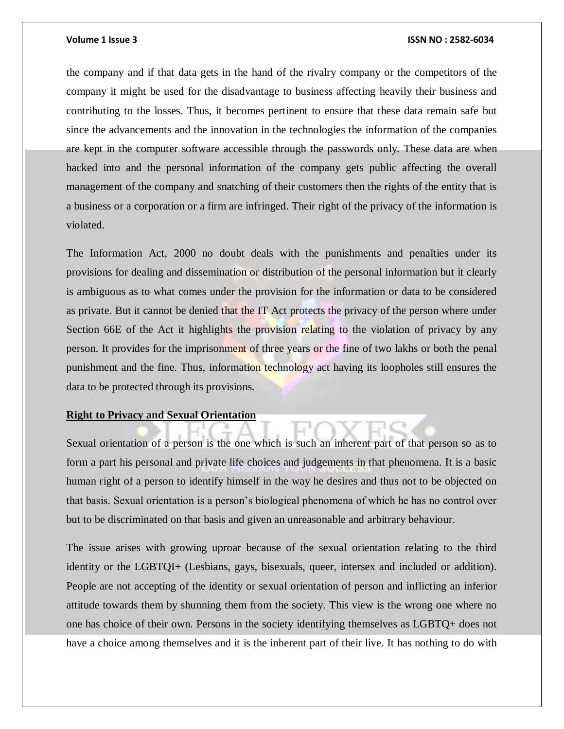the company and if that data gets in the hand of the rivalry company or the competitors of the company it might be used for the disadvantage to business affecting heavily their business and contributing to the losses. Thus, it becomes pertinent to ensure that these data remain safe but since the advancements and the innovation in the technologies the information of the companies are kept in the computer software accessible through the passwords only. These data are when hacked into and the personal information of the company gets public affecting the overall management of the company and snatching of their customers then the rights of the entity that is a business or a corporation or a firm are infringed. Their right of the privacy of the information is violated.

The Information Act, 2000 no doubt deals with the punishments and penalties under its provisions for dealing and dissemination or distribution of the personal information but it clearly is ambiguous as to what comes under the provision for the information or data to be considered as private. But it cannot be denied that the IT Act protects the privacy of the person where under Section 66E of the Act it highlights the provision relating to the violation of privacy by any person. It provides for the imprisonment of three years or the fine of two lakhs or both the penal punishment and the fine. Thus, information technology act having its loopholes still ensures the data to be protected through its provisions.

### **Right to Privacy and Sexual Orientation**

Sexual orientation of a person is the one which is such an inherent part of that person so as to form a part his personal and private life choices and judgements in that phenomena. It is a basic human right of a person to identify himself in the way he desires and thus not to be objected on that basis. Sexual orientation is a person's biological phenomena of which he has no control over but to be discriminated on that basis and given an unreasonable and arbitrary behaviour.

The issue arises with growing uproar because of the sexual orientation relating to the third identity or the LGBTQI+ (Lesbians, gays, bisexuals, queer, intersex and included or addition). People are not accepting of the identity or sexual orientation of person and inflicting an inferior attitude towards them by shunning them from the society. This view is the wrong one where no one has choice of their own. Persons in the society identifying themselves as LGBTQ+ does not have a choice among themselves and it is the inherent part of their live. It has nothing to do with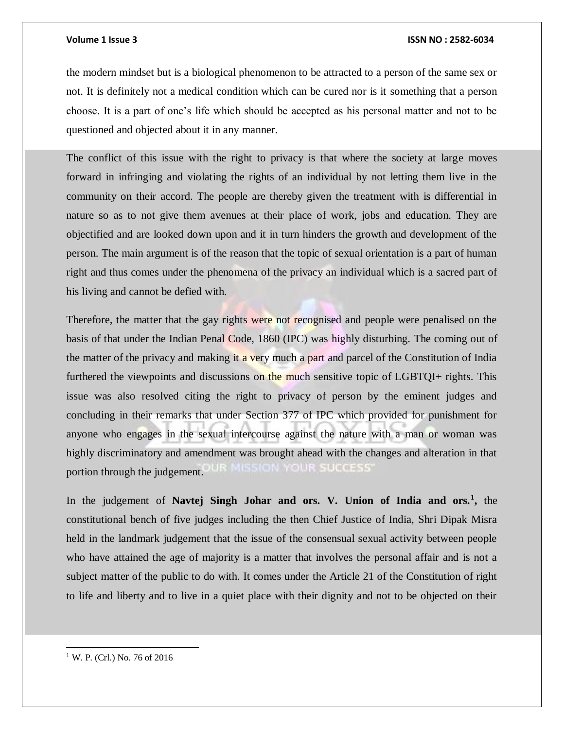the modern mindset but is a biological phenomenon to be attracted to a person of the same sex or not. It is definitely not a medical condition which can be cured nor is it something that a person choose. It is a part of one's life which should be accepted as his personal matter and not to be questioned and objected about it in any manner.

The conflict of this issue with the right to privacy is that where the society at large moves forward in infringing and violating the rights of an individual by not letting them live in the community on their accord. The people are thereby given the treatment with is differential in nature so as to not give them avenues at their place of work, jobs and education. They are objectified and are looked down upon and it in turn hinders the growth and development of the person. The main argument is of the reason that the topic of sexual orientation is a part of human right and thus comes under the phenomena of the privacy an individual which is a sacred part of his living and cannot be defied with.

Therefore, the matter that the gay rights were not recognised and people were penalised on the basis of that under the Indian Penal Code, 1860 (IPC) was highly disturbing. The coming out of the matter of the privacy and making it a very much a part and parcel of the Constitution of India furthered the viewpoints and discussions on the much sensitive topic of LGBTQI+ rights. This issue was also resolved citing the right to privacy of person by the eminent judges and concluding in their remarks that under Section 377 of IPC which provided for punishment for anyone who engages in the sexual intercourse against the nature with a man or woman was highly discriminatory and amendment was brought ahead with the changes and alteration in that portion through the judgement.

In the judgement of **Navtej Singh Johar and ors. V. Union of India and ors.<sup>1</sup> ,** the constitutional bench of five judges including the then Chief Justice of India, Shri Dipak Misra held in the landmark judgement that the issue of the consensual sexual activity between people who have attained the age of majority is a matter that involves the personal affair and is not a subject matter of the public to do with. It comes under the Article 21 of the Constitution of right to life and liberty and to live in a quiet place with their dignity and not to be objected on their

<sup>1</sup> W. P. (Crl.) No. 76 of 2016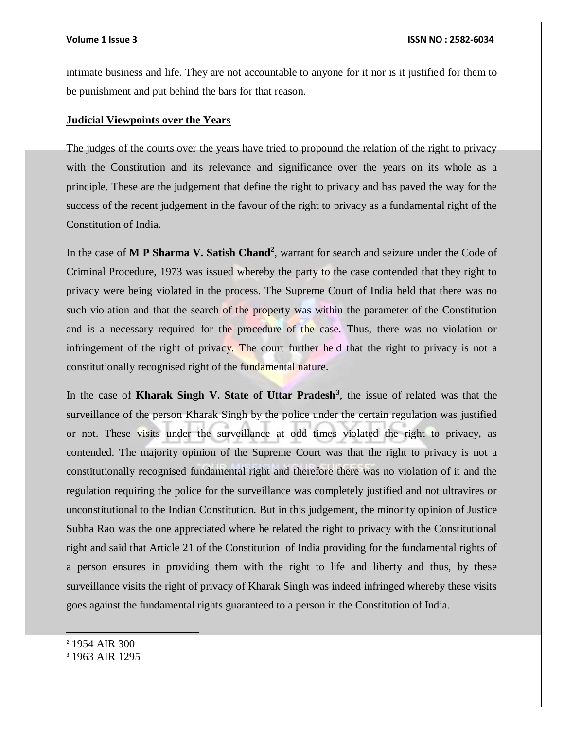intimate business and life. They are not accountable to anyone for it nor is it justified for them to be punishment and put behind the bars for that reason.

### **Judicial Viewpoints over the Years**

The judges of the courts over the years have tried to propound the relation of the right to privacy with the Constitution and its relevance and significance over the years on its whole as a principle. These are the judgement that define the right to privacy and has paved the way for the success of the recent judgement in the favour of the right to privacy as a fundamental right of the Constitution of India.

In the case of M P Sharma V. Satish Chand<sup>2</sup>, warrant for search and seizure under the Code of Criminal Procedure, 1973 was issued whereby the party to the case contended that they right to privacy were being violated in the process. The Supreme Court of India held that there was no such violation and that the search of the property was within the parameter of the Constitution and is a necessary required for the procedure of the case. Thus, there was no violation or infringement of the right of privacy. The court further held that the right to privacy is not a constitutionally recognised right of the fundamental nature.

In the case of **Kharak Singh V. State of Uttar Pradesh<sup>3</sup>** , the issue of related was that the surveillance of the person Kharak Singh by the police under the certain regulation was justified or not. These visits under the surveillance at odd times violated the right to privacy, as contended. The majority opinion of the Supreme Court was that the right to privacy is not a constitutionally recognised fundamental right and therefore there was no violation of it and the regulation requiring the police for the surveillance was completely justified and not ultravires or unconstitutional to the Indian Constitution. But in this judgement, the minority opinion of Justice Subha Rao was the one appreciated where he related the right to privacy with the Constitutional right and said that Article 21 of the Constitution of India providing for the fundamental rights of a person ensures in providing them with the right to life and liberty and thus, by these surveillance visits the right of privacy of Kharak Singh was indeed infringed whereby these visits goes against the fundamental rights guaranteed to a person in the Constitution of India.

<sup>2</sup> 1954 AIR 300

<sup>3</sup> 1963 AIR 1295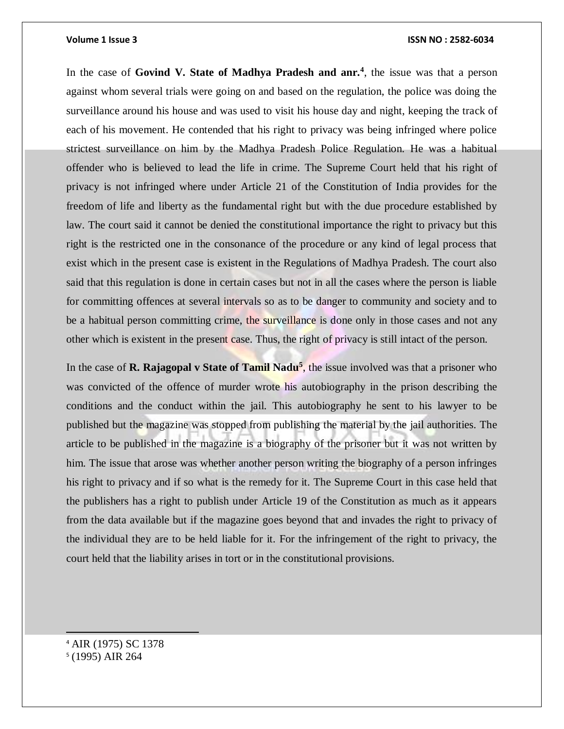In the case of **Govind V. State of Madhya Pradesh and anr.<sup>4</sup>** , the issue was that a person against whom several trials were going on and based on the regulation, the police was doing the surveillance around his house and was used to visit his house day and night, keeping the track of each of his movement. He contended that his right to privacy was being infringed where police strictest surveillance on him by the Madhya Pradesh Police Regulation. He was a habitual offender who is believed to lead the life in crime. The Supreme Court held that his right of privacy is not infringed where under Article 21 of the Constitution of India provides for the freedom of life and liberty as the fundamental right but with the due procedure established by law. The court said it cannot be denied the constitutional importance the right to privacy but this right is the restricted one in the consonance of the procedure or any kind of legal process that exist which in the present case is existent in the Regulations of Madhya Pradesh. The court also said that this regulation is done in certain cases but not in all the cases where the person is liable for committing offences at several intervals so as to be danger to community and society and to be a habitual person committing crime, the surveillance is done only in those cases and not any other which is existent in the present case. Thus, the right of privacy is still intact of the person.

In the case of **R. Rajagopal v State of Tamil Nadu<sup>5</sup>**, the issue involved was that a prisoner who was convicted of the offence of murder wrote his autobiography in the prison describing the conditions and the conduct within the jail. This autobiography he sent to his lawyer to be published but the magazine was stopped from publishing the material by the jail authorities. The article to be published in the magazine is a biography of the prisoner but it was not written by him. The issue that arose was whether another person writing the biography of a person infringes his right to privacy and if so what is the remedy for it. The Supreme Court in this case held that the publishers has a right to publish under Article 19 of the Constitution as much as it appears from the data available but if the magazine goes beyond that and invades the right to privacy of the individual they are to be held liable for it. For the infringement of the right to privacy, the court held that the liability arises in tort or in the constitutional provisions.

<sup>4</sup> AIR (1975) SC 1378 5 (1995) AIR 264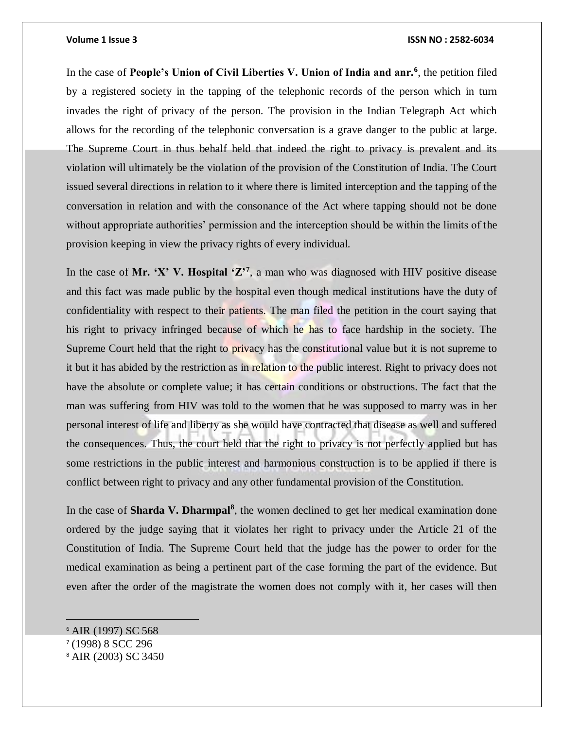In the case of **People's Union of Civil Liberties V. Union of India and anr.<sup>6</sup>** , the petition filed by a registered society in the tapping of the telephonic records of the person which in turn invades the right of privacy of the person. The provision in the Indian Telegraph Act which allows for the recording of the telephonic conversation is a grave danger to the public at large. The Supreme Court in thus behalf held that indeed the right to privacy is prevalent and its violation will ultimately be the violation of the provision of the Constitution of India. The Court issued several directions in relation to it where there is limited interception and the tapping of the conversation in relation and with the consonance of the Act where tapping should not be done without appropriate authorities' permission and the interception should be within the limits of the provision keeping in view the privacy rights of every individual.

In the case of Mr. 'X' V. Hospital ' $\mathbb{Z}^7$ , a man who was diagnosed with HIV positive disease and this fact was made public by the hospital even though medical institutions have the duty of confidentiality with respect to their patients. The man filed the petition in the court saying that his right to privacy infringed because of which he has to face hardship in the society. The Supreme Court held that the right to privacy has the constitutional value but it is not supreme to it but it has abided by the restriction as in relation to the public interest. Right to privacy does not have the absolute or complete value; it has certain conditions or obstructions. The fact that the man was suffering from HIV was told to the women that he was supposed to marry was in her personal interest of life and liberty as she would have contracted that disease as well and suffered the consequences. Thus, the court held that the right to privacy is not perfectly applied but has some restrictions in the public interest and harmonious construction is to be applied if there is conflict between right to privacy and any other fundamental provision of the Constitution.

In the case of **Sharda V. Dharmpal<sup>8</sup>**, the women declined to get her medical examination done ordered by the judge saying that it violates her right to privacy under the Article 21 of the Constitution of India. The Supreme Court held that the judge has the power to order for the medical examination as being a pertinent part of the case forming the part of the evidence. But even after the order of the magistrate the women does not comply with it, her cases will then

<sup>6</sup> AIR (1997) SC 568 7 (1998) 8 SCC 296 <sup>8</sup> AIR (2003) SC 3450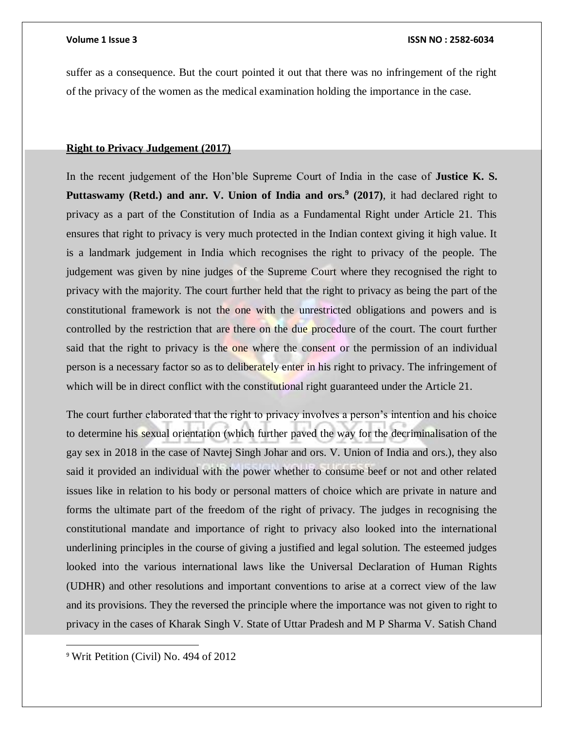suffer as a consequence. But the court pointed it out that there was no infringement of the right of the privacy of the women as the medical examination holding the importance in the case.

## **Right to Privacy Judgement (2017)**

In the recent judgement of the Hon'ble Supreme Court of India in the case of **Justice K. S.**  Puttaswamy (Retd.) and anr. V. Union of India and ors.<sup>9</sup> (2017), it had declared right to privacy as a part of the Constitution of India as a Fundamental Right under Article 21. This ensures that right to privacy is very much protected in the Indian context giving it high value. It is a landmark judgement in India which recognises the right to privacy of the people. The judgement was given by nine judges of the Supreme Court where they recognised the right to privacy with the majority. The court further held that the right to privacy as being the part of the constitutional framework is not the one with the unrestricted obligations and powers and is controlled by the restriction that are there on the due procedure of the court. The court further said that the right to privacy is the one where the consent or the permission of an individual person is a necessary factor so as to deliberately enter in his right to privacy. The infringement of which will be in direct conflict with the constitutional right guaranteed under the Article 21.

The court further elaborated that the right to privacy involves a person's intention and his choice to determine his sexual orientation (which further paved the way for the decriminalisation of the gay sex in 2018 in the case of Navtej Singh Johar and ors. V. Union of India and ors.), they also said it provided an individual with the power whether to consume beef or not and other related issues like in relation to his body or personal matters of choice which are private in nature and forms the ultimate part of the freedom of the right of privacy. The judges in recognising the constitutional mandate and importance of right to privacy also looked into the international underlining principles in the course of giving a justified and legal solution. The esteemed judges looked into the various international laws like the Universal Declaration of Human Rights (UDHR) and other resolutions and important conventions to arise at a correct view of the law and its provisions. They the reversed the principle where the importance was not given to right to privacy in the cases of Kharak Singh V. State of Uttar Pradesh and M P Sharma V. Satish Chand

<sup>9</sup> Writ Petition (Civil) No. 494 of 2012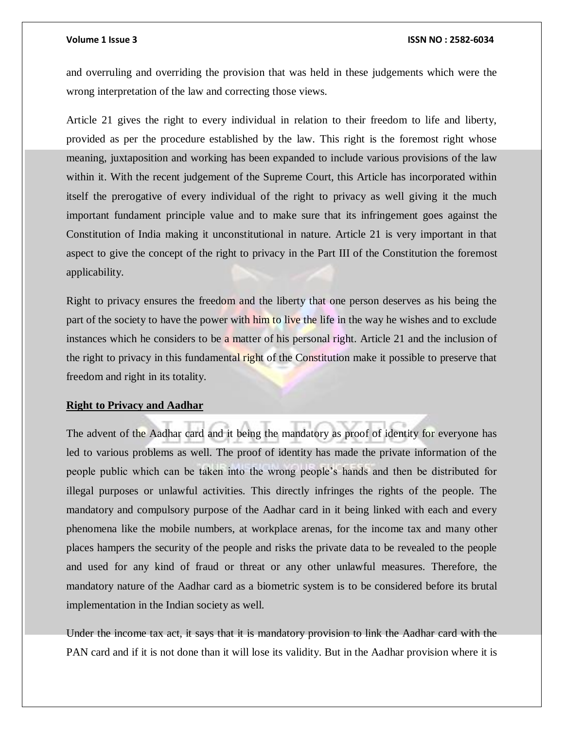and overruling and overriding the provision that was held in these judgements which were the wrong interpretation of the law and correcting those views.

Article 21 gives the right to every individual in relation to their freedom to life and liberty, provided as per the procedure established by the law. This right is the foremost right whose meaning, juxtaposition and working has been expanded to include various provisions of the law within it. With the recent judgement of the Supreme Court, this Article has incorporated within itself the prerogative of every individual of the right to privacy as well giving it the much important fundament principle value and to make sure that its infringement goes against the Constitution of India making it unconstitutional in nature. Article 21 is very important in that aspect to give the concept of the right to privacy in the Part III of the Constitution the foremost applicability.

Right to privacy ensures the freedom and the liberty that one person deserves as his being the part of the society to have the power with him to live the life in the way he wishes and to exclude instances which he considers to be a matter of his personal right. Article 21 and the inclusion of the right to privacy in this fundamental right of the Constitution make it possible to preserve that freedom and right in its totality.

# **Right to Privacy and Aadhar**

The advent of the Aadhar card and it being the mandatory as proof of identity for everyone has led to various problems as well. The proof of identity has made the private information of the people public which can be taken into the wrong people's hands and then be distributed for illegal purposes or unlawful activities. This directly infringes the rights of the people. The mandatory and compulsory purpose of the Aadhar card in it being linked with each and every phenomena like the mobile numbers, at workplace arenas, for the income tax and many other places hampers the security of the people and risks the private data to be revealed to the people and used for any kind of fraud or threat or any other unlawful measures. Therefore, the mandatory nature of the Aadhar card as a biometric system is to be considered before its brutal implementation in the Indian society as well.

Under the income tax act, it says that it is mandatory provision to link the Aadhar card with the PAN card and if it is not done than it will lose its validity. But in the Aadhar provision where it is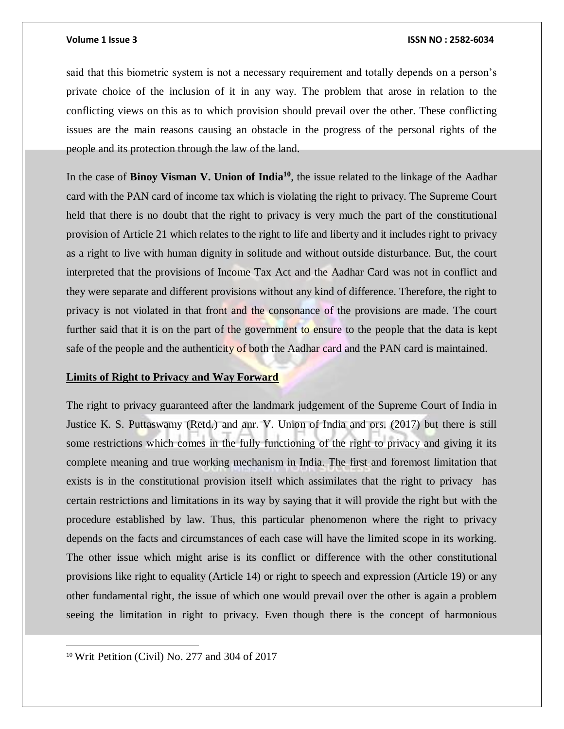said that this biometric system is not a necessary requirement and totally depends on a person's private choice of the inclusion of it in any way. The problem that arose in relation to the conflicting views on this as to which provision should prevail over the other. These conflicting issues are the main reasons causing an obstacle in the progress of the personal rights of the people and its protection through the law of the land.

In the case of **Binoy Visman V. Union of India<sup>10</sup>**, the issue related to the linkage of the Aadhar card with the PAN card of income tax which is violating the right to privacy. The Supreme Court held that there is no doubt that the right to privacy is very much the part of the constitutional provision of Article 21 which relates to the right to life and liberty and it includes right to privacy as a right to live with human dignity in solitude and without outside disturbance. But, the court interpreted that the provisions of Income Tax Act and the Aadhar Card was not in conflict and they were separate and different provisions without any kind of difference. Therefore, the right to privacy is not violated in that front and the consonance of the provisions are made. The court further said that it is on the part of the government to ensure to the people that the data is kept safe of the people and the authenticity of both the Aadhar card and the PAN card is maintained.

### **Limits of Right to Privacy and Way Forward**

The right to privacy guaranteed after the landmark judgement of the Supreme Court of India in Justice K. S. Puttaswamy (Retd.) and anr. V. Union of India and ors. (2017) but there is still some restrictions which comes in the fully functioning of the right to privacy and giving it its complete meaning and true working mechanism in India. The first and foremost limitation that exists is in the constitutional provision itself which assimilates that the right to privacy has certain restrictions and limitations in its way by saying that it will provide the right but with the procedure established by law. Thus, this particular phenomenon where the right to privacy depends on the facts and circumstances of each case will have the limited scope in its working. The other issue which might arise is its conflict or difference with the other constitutional provisions like right to equality (Article 14) or right to speech and expression (Article 19) or any other fundamental right, the issue of which one would prevail over the other is again a problem seeing the limitation in right to privacy. Even though there is the concept of harmonious

<sup>10</sup> Writ Petition (Civil) No. 277 and 304 of 2017